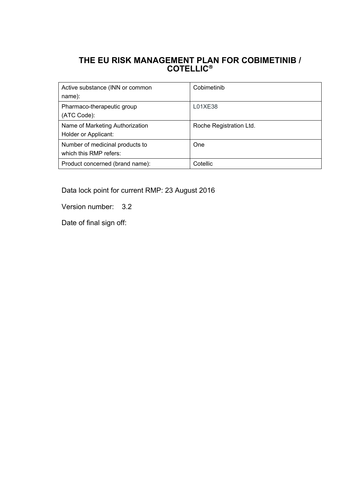## **THE EU RISK MANAGEMENT PLAN FOR COBIMETINIB / COTELLIC**

| Active substance (INN or common | Cobimetinib             |
|---------------------------------|-------------------------|
| name):                          |                         |
| Pharmaco-therapeutic group      | L01XE38                 |
| (ATC Code):                     |                         |
| Name of Marketing Authorization | Roche Registration Ltd. |
| Holder or Applicant:            |                         |
| Number of medicinal products to | One                     |
| which this RMP refers:          |                         |
| Product concerned (brand name): | Cotellic                |

Data lock point for current RMP: 23 August 2016

Version number: 3.2

Date of final sign off: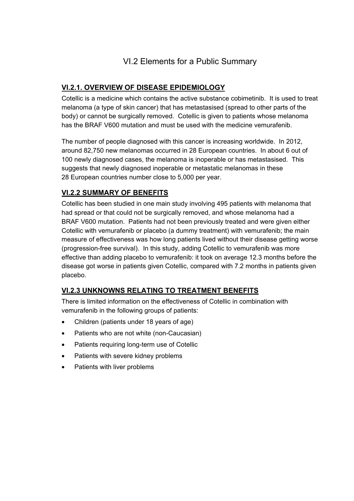# VI.2 Elements for a Public Summary

## **VI.2.1. OVERVIEW OF DISEASE EPIDEMIOLOGY**

Cotellic is a medicine which contains the active substance cobimetinib. It is used to treat melanoma (a type of skin cancer) that has metastasised (spread to other parts of the body) or cannot be surgically removed. Cotellic is given to patients whose melanoma has the BRAF V600 mutation and must be used with the medicine vemurafenib.

The number of people diagnosed with this cancer is increasing worldwide. In 2012, around 82,750 new melanomas occurred in 28 European countries. In about 6 out of 100 newly diagnosed cases, the melanoma is inoperable or has metastasised. This suggests that newly diagnosed inoperable or metastatic melanomas in these 28 European countries number close to 5,000 per year.

## **VI.2.2 SUMMARY OF BENEFITS**

Cotellic has been studied in one main study involving 495 patients with melanoma that had spread or that could not be surgically removed, and whose melanoma had a BRAF V600 mutation. Patients had not been previously treated and were given either Cotellic with vemurafenib or placebo (a dummy treatment) with vemurafenib; the main measure of effectiveness was how long patients lived without their disease getting worse (progression-free survival). In this study, adding Cotellic to vemurafenib was more effective than adding placebo to vemurafenib: it took on average 12.3 months before the disease got worse in patients given Cotellic, compared with 7.2 months in patients given placebo.

## **VI.2.3 UNKNOWNS RELATING TO TREATMENT BENEFITS**

There is limited information on the effectiveness of Cotellic in combination with vemurafenib in the following groups of patients:

- Children (patients under 18 years of age)
- Patients who are not white (non-Caucasian)
- Patients requiring long-term use of Cotellic
- Patients with severe kidney problems
- Patients with liver problems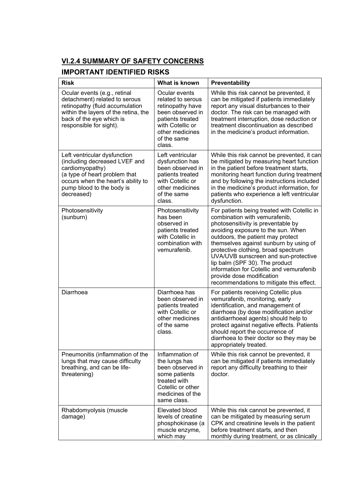# **VI.2.4 SUMMARY OF SAFETY CONCERNS**

# **IMPORTANT IDENTIFIED RISKS**

| <b>Risk</b>                                                                                                                                                                                        | What is known                                                                                                                                                  | Preventability                                                                                                                                                                                                                                                                                                                                                                                                                                                                |
|----------------------------------------------------------------------------------------------------------------------------------------------------------------------------------------------------|----------------------------------------------------------------------------------------------------------------------------------------------------------------|-------------------------------------------------------------------------------------------------------------------------------------------------------------------------------------------------------------------------------------------------------------------------------------------------------------------------------------------------------------------------------------------------------------------------------------------------------------------------------|
| Ocular events (e.g., retinal<br>detachment) related to serous<br>retinopathy (fluid accumulation<br>within the layers of the retina, the<br>back of the eye which is<br>responsible for sight).    | Ocular events<br>related to serous<br>retinopathy have<br>been observed in<br>patients treated<br>with Cotellic or<br>other medicines<br>of the same<br>class. | While this risk cannot be prevented, it<br>can be mitigated if patients immediately<br>report any visual disturbances to their<br>doctor. The risk can be managed with<br>treatment interruption, dose reduction or<br>treatment discontinuation as described<br>in the medicine's product information.                                                                                                                                                                       |
| Left ventricular dysfunction<br>(including decreased LVEF and<br>cardiomyopathy)<br>(a type of heart problem that<br>occurs when the heart's ability to<br>pump blood to the body is<br>decreased) | Left ventricular<br>dysfunction has<br>been observed in<br>patients treated<br>with Cotellic or<br>other medicines<br>of the same<br>class.                    | While this risk cannot be prevented, it can<br>be mitigated by measuring heart function<br>in the patient before treatment starts,<br>monitoring heart function during treatment<br>and by following the instructions included<br>in the medicine's product information, for<br>patients who experience a left ventricular<br>dysfunction.                                                                                                                                    |
| Photosensitivity<br>(sunburn)                                                                                                                                                                      | Photosensitivity<br>has been<br>observed in<br>patients treated<br>with Cotellic in<br>combination with<br>vemurafenib.                                        | For patients being treated with Cotellic in<br>combination with vemurafenib,<br>photosensitivity is preventable by<br>avoiding exposure to the sun. When<br>outdoors, the patient may protect<br>themselves against sunburn by using of<br>protective clothing, broad spectrum<br>UVA/UVB sunscreen and sun-protective<br>lip balm (SPF 30). The product<br>information for Cotellic and vemurafenib<br>provide dose modification<br>recommendations to mitigate this effect. |
| Diarrhoea                                                                                                                                                                                          | Diarrhoea has<br>been observed in<br>patients treated<br>with Cotellic or<br>other medicines<br>of the same<br>class.                                          | For patients receiving Cotellic plus<br>vemurafenib, monitoring, early<br>identification, and management of<br>diarrhoea (by dose modification and/or<br>antidiarrhoeal agents) should help to<br>protect against negative effects. Patients<br>should report the occurrence of<br>diarrhoea to their doctor so they may be<br>appropriately treated.                                                                                                                         |
| Pneumonitis (inflammation of the<br>lungs that may cause difficulty<br>breathing, and can be life-<br>threatening)                                                                                 | Inflammation of<br>the lungs has<br>been observed in<br>some patients<br>treated with<br>Cotellic or other<br>medicines of the<br>same class.                  | While this risk cannot be prevented, it<br>can be mitigated if patients immediately<br>report any difficulty breathing to their<br>doctor.                                                                                                                                                                                                                                                                                                                                    |
| Rhabdomyolysis (muscle<br>damage)                                                                                                                                                                  | Elevated blood<br>levels of creatine<br>phosphokinase (a<br>muscle enzyme,<br>which may                                                                        | While this risk cannot be prevented, it<br>can be mitigated by measuring serum<br>CPK and creatinine levels in the patient<br>before treatment starts, and then<br>monthly during treatment, or as clinically                                                                                                                                                                                                                                                                 |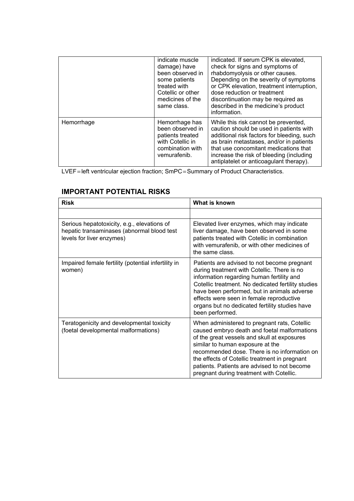|            | indicate muscle<br>damage) have<br>been observed in<br>some patients<br>treated with<br>Cotellic or other<br>medicines of the<br>same class. | indicated. If serum CPK is elevated,<br>check for signs and symptoms of<br>rhabdomyolysis or other causes.<br>Depending on the severity of symptoms<br>or CPK elevation, treatment interruption,<br>dose reduction or treatment<br>discontinuation may be required as<br>described in the medicine's product<br>information. |
|------------|----------------------------------------------------------------------------------------------------------------------------------------------|------------------------------------------------------------------------------------------------------------------------------------------------------------------------------------------------------------------------------------------------------------------------------------------------------------------------------|
| Hemorrhage | Hemorrhage has<br>been observed in<br>patients treated<br>with Cotellic in<br>combination with<br>vemurafenib.                               | While this risk cannot be prevented,<br>caution should be used in patients with<br>additional risk factors for bleeding, such<br>as brain metastases, and/or in patients<br>that use concomitant medications that<br>increase the risk of bleeding (including<br>antiplatelet or anticoagulant therapy).                     |

LVEF= left ventricular ejection fraction; SmPC=Summary of Product Characteristics.

### **IMPORTANT POTENTIAL RISKS**

| <b>Risk</b>                                                                                                            | What is known                                                                                                                                                                                                                                                                                                                                                                |
|------------------------------------------------------------------------------------------------------------------------|------------------------------------------------------------------------------------------------------------------------------------------------------------------------------------------------------------------------------------------------------------------------------------------------------------------------------------------------------------------------------|
|                                                                                                                        |                                                                                                                                                                                                                                                                                                                                                                              |
| Serious hepatotoxicity, e.g., elevations of<br>hepatic transaminases (abnormal blood test<br>levels for liver enzymes) | Elevated liver enzymes, which may indicate<br>liver damage, have been observed in some<br>patients treated with Cotellic in combination<br>with vemurafenib, or with other medicines of<br>the same class                                                                                                                                                                    |
| Impaired female fertility (potential infertility in<br>women)                                                          | Patients are advised to not become pregnant<br>during treatment with Cotellic. There is no<br>information regarding human fertility and<br>Cotellic treatment. No dedicated fertility studies<br>have been performed, but in animals adverse<br>effects were seen in female reproductive<br>organs but no dedicated fertility studies have<br>been performed.                |
| Teratogenicity and developmental toxicity<br>(foetal developmental malformations)                                      | When administered to pregnant rats, Cotellic<br>caused embryo death and foetal malformations<br>of the great vessels and skull at exposures<br>similar to human exposure at the<br>recommended dose. There is no information on<br>the effects of Cotellic treatment in pregnant<br>patients. Patients are advised to not become<br>pregnant during treatment with Cotellic. |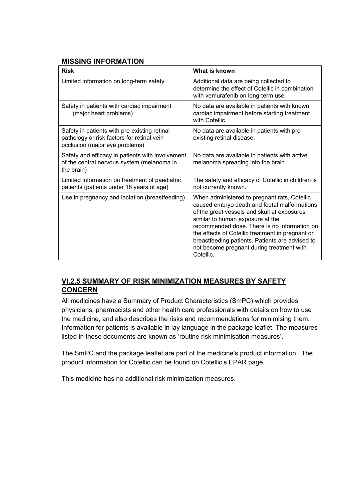#### **MISSING INFORMATION**

| <b>Risk</b>                                                                                                                  | What is known                                                                                                                                                                                                                                                                                                                                                                                    |  |
|------------------------------------------------------------------------------------------------------------------------------|--------------------------------------------------------------------------------------------------------------------------------------------------------------------------------------------------------------------------------------------------------------------------------------------------------------------------------------------------------------------------------------------------|--|
| Limited information on long-term safety                                                                                      | Additional data are being collected to<br>determine the effect of Cotellic in combination<br>with vemurafenib on long-term use.                                                                                                                                                                                                                                                                  |  |
| Safety in patients with cardiac impairment<br>(major heart problems)                                                         | No data are available in patients with known<br>cardiac impairment before starting treatment<br>with Cotellic.                                                                                                                                                                                                                                                                                   |  |
| Safety in patients with pre-existing retinal<br>pathology or risk factors for retinal vein<br>occlusion (major eye problems) | No data are available in patients with pre-<br>existing retinal disease.                                                                                                                                                                                                                                                                                                                         |  |
| Safety and efficacy in patients with involvement<br>of the central nervous system (melanoma in<br>the brain)                 | No data are available in patients with active<br>melanoma spreading into the brain.                                                                                                                                                                                                                                                                                                              |  |
| Limited information on treatment of paediatric<br>patients (patients under 18 years of age)                                  | The safety and efficacy of Cotellic in children is<br>not currently known.                                                                                                                                                                                                                                                                                                                       |  |
| Use in pregnancy and lactation (breastfeeding)                                                                               | When administered to pregnant rats, Cotellic<br>caused embryo death and foetal malformations<br>of the great vessels and skull at exposures<br>similar to human exposure at the<br>recommended dose. There is no information on<br>the effects of Cotellic treatment in pregnant or<br>breastfeeding patients. Patients are advised to<br>not become pregnant during treatment with<br>Cotellic. |  |

### **VI.2.5 SUMMARY OF RISK MINIMIZATION MEASURES BY SAFETY CONCERN**

All medicines have a Summary of Product Characteristics (SmPC) which provides physicians, pharmacists and other health care professionals with details on how to use the medicine, and also describes the risks and recommendations for minimising them. Information for patients is available in lay language in the package leaflet. The measures listed in these documents are known as 'routine risk minimisation measures'.

The SmPC and the package leaflet are part of the medicine's product information. The product information for Cotellic can be found on Cotellic's EPAR page.

This medicine has no additional risk minimization measures.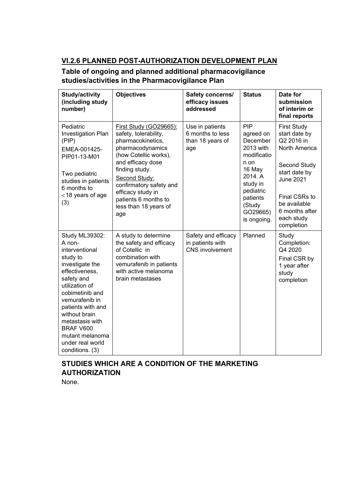## **VI.2.6 PLANNED POST-AUTHORIZATION DEVELOPMENT PLAN**

### **Table of ongoing and planned additional pharmacovigilance studies/activities in the Pharmacovigilance Plan**

| Study/activity<br>(including study<br>number)                                                                                                                                                                                                                                                    | <b>Objectives</b>                                                                                                                                                                                                                                                                 | Safety concerns/<br>efficacy issues<br>addressed                  | <b>Status</b>                                                                                                                                                   | Date for<br>submission<br>of interim or<br>final reports                                                                                                                                               |
|--------------------------------------------------------------------------------------------------------------------------------------------------------------------------------------------------------------------------------------------------------------------------------------------------|-----------------------------------------------------------------------------------------------------------------------------------------------------------------------------------------------------------------------------------------------------------------------------------|-------------------------------------------------------------------|-----------------------------------------------------------------------------------------------------------------------------------------------------------------|--------------------------------------------------------------------------------------------------------------------------------------------------------------------------------------------------------|
| Pediatric<br>Investigation Plan<br>(PIP)<br>EMEA-001425-<br>PIP01-13-M01<br>Two pediatric<br>studies in patients<br>6 months to<br><18 years of age<br>(3)                                                                                                                                       | First Study (GO29665):<br>safety, tolerability,<br>pharmacokinetics,<br>pharmacodynamics<br>(how Cotellic works),<br>and efficacy dose<br>finding study.<br>Second Study:<br>confirmatory safety and<br>efficacy study in<br>patients 6 months to<br>less than 18 years of<br>age | Use in patients<br>6 months to less<br>than 18 years of<br>age    | PIP<br>agreed on<br>December<br>2013 with<br>modificatio<br>n on<br>16 May<br>2014. A<br>study in<br>pediatric<br>patients<br>(Study<br>GO29665)<br>is ongoing. | <b>First Study</b><br>start date by<br>Q2 2016 in<br>North America<br>Second Study<br>start date by<br><b>June 2021</b><br>Final CSRs to<br>be available<br>6 months after<br>each study<br>completion |
| Study ML39302:<br>A non-<br>interventional<br>study to<br>investigate the<br>effectiveness,<br>safety and<br>utilization of<br>cobimetinib and<br>vemurafenib in<br>patients with and<br>without brain<br>metastasis with<br>BRAF V600<br>mutant melanoma<br>under real world<br>conditions. (3) | A study to determine<br>the safety and efficacy<br>of Cotellic in<br>combination with<br>vemurafenib in patients<br>with active melanoma<br>brain metastases                                                                                                                      | Safety and efficacy<br>in patients with<br><b>CNS</b> involvement | Planned                                                                                                                                                         | Study<br>Completion:<br>Q4 2020<br>Final CSR by<br>1 year after<br>study<br>completion                                                                                                                 |

# **STUDIES WHICH ARE A CONDITION OF THE MARKETING AUTHORIZATION**

None.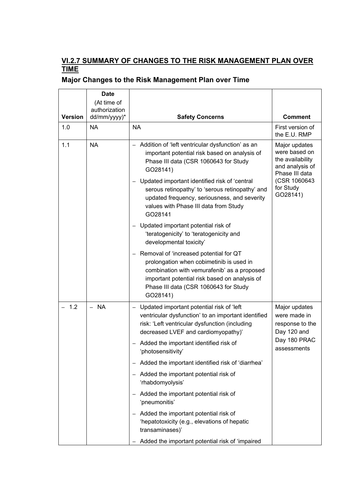### **VI.2.7 SUMMARY OF CHANGES TO THE RISK MANAGEMENT PLAN OVER TIME**

| <b>Version</b>               | <b>Date</b><br>(At time of<br>authorization<br>dd/mm/yyyy)*                                                                                                                                                                                                                                                                                 | <b>Safety Concerns</b>                                                                                                                                                                                                                    | <b>Comment</b>                                                  |
|------------------------------|---------------------------------------------------------------------------------------------------------------------------------------------------------------------------------------------------------------------------------------------------------------------------------------------------------------------------------------------|-------------------------------------------------------------------------------------------------------------------------------------------------------------------------------------------------------------------------------------------|-----------------------------------------------------------------|
| 1.0                          | NA                                                                                                                                                                                                                                                                                                                                          | <b>NA</b>                                                                                                                                                                                                                                 | First version of<br>the E.U. RMP                                |
| 1.1<br><b>NA</b><br>GO28141) | - Addition of 'left ventricular dysfunction' as an<br>important potential risk based on analysis of<br>Phase III data (CSR 1060643 for Study<br>- Updated important identified risk of 'central<br>serous retinopathy' to 'serous retinopathy' and<br>updated frequency, seriousness, and severity<br>values with Phase III data from Study | Major updates<br>were based on<br>the availability<br>and analysis of<br>Phase III data<br>(CSR 1060643)<br>for Study<br>GO28141)                                                                                                         |                                                                 |
|                              |                                                                                                                                                                                                                                                                                                                                             | GO28141<br>- Updated important potential risk of<br>'teratogenicity' to 'teratogenicity and<br>developmental toxicity'                                                                                                                    |                                                                 |
|                              |                                                                                                                                                                                                                                                                                                                                             | - Removal of 'increased potential for QT<br>prolongation when cobimetinib is used in<br>combination with vemurafenib' as a proposed<br>important potential risk based on analysis of<br>Phase III data (CSR 1060643 for Study<br>GO28141) |                                                                 |
| 1.2<br><b>NA</b><br>$\equiv$ |                                                                                                                                                                                                                                                                                                                                             | - Updated important potential risk of 'left'<br>ventricular dysfunction' to an important identified<br>risk: 'Left ventricular dysfunction (including<br>decreased LVEF and cardiomyopathy)'                                              | Major updates<br>were made in<br>response to the<br>Day 120 and |
|                              |                                                                                                                                                                                                                                                                                                                                             | - Added the important identified risk of<br>'photosensitivity'                                                                                                                                                                            | Day 180 PRAC<br>assessments                                     |
|                              |                                                                                                                                                                                                                                                                                                                                             | - Added the important identified risk of 'diarrhea'                                                                                                                                                                                       |                                                                 |
|                              |                                                                                                                                                                                                                                                                                                                                             | - Added the important potential risk of<br>'rhabdomyolysis'                                                                                                                                                                               |                                                                 |
|                              |                                                                                                                                                                                                                                                                                                                                             | Added the important potential risk of<br>$\qquad \qquad -$<br>'pneumonitis'                                                                                                                                                               |                                                                 |
|                              |                                                                                                                                                                                                                                                                                                                                             | - Added the important potential risk of<br>'hepatotoxicity (e.g., elevations of hepatic<br>transaminases)'                                                                                                                                |                                                                 |
|                              |                                                                                                                                                                                                                                                                                                                                             | Added the important potential risk of 'impaired                                                                                                                                                                                           |                                                                 |

# **Major Changes to the Risk Management Plan over Time**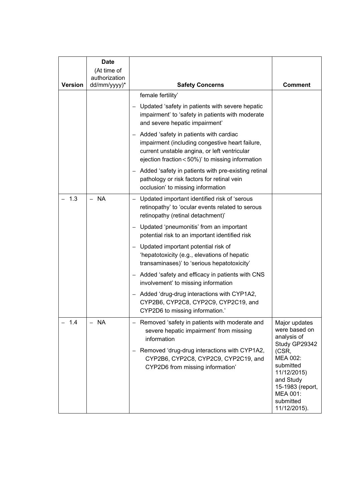| <b>Version</b> | <b>Date</b><br>(At time of<br>authorization<br>dd/mm/yyyy)* | <b>Safety Concerns</b>                                                                                                                                                                          | Comment                                                                                                                 |
|----------------|-------------------------------------------------------------|-------------------------------------------------------------------------------------------------------------------------------------------------------------------------------------------------|-------------------------------------------------------------------------------------------------------------------------|
|                |                                                             | female fertility'                                                                                                                                                                               |                                                                                                                         |
|                |                                                             | Updated 'safety in patients with severe hepatic<br>impairment' to 'safety in patients with moderate<br>and severe hepatic impairment'                                                           |                                                                                                                         |
|                |                                                             | - Added 'safety in patients with cardiac<br>impairment (including congestive heart failure,<br>current unstable angina, or left ventricular<br>ejection fraction < 50%)' to missing information |                                                                                                                         |
|                |                                                             | - Added 'safety in patients with pre-existing retinal<br>pathology or risk factors for retinal vein<br>occlusion' to missing information                                                        |                                                                                                                         |
| 1.3            | - NA                                                        | - Updated important identified risk of 'serous<br>retinopathy' to 'ocular events related to serous<br>retinopathy (retinal detachment)'                                                         |                                                                                                                         |
|                |                                                             | - Updated 'pneumonitis' from an important<br>potential risk to an important identified risk                                                                                                     |                                                                                                                         |
|                |                                                             | Updated important potential risk of<br>'hepatotoxicity (e.g., elevations of hepatic<br>transaminases)' to 'serious hepatotoxicity'                                                              |                                                                                                                         |
|                |                                                             | - Added 'safety and efficacy in patients with CNS<br>involvement' to missing information                                                                                                        |                                                                                                                         |
|                |                                                             | Added 'drug-drug interactions with CYP1A2,<br>$\qquad \qquad -$<br>CYP2B6, CYP2C8, CYP2C9, CYP2C19, and<br>CYP2D6 to missing information.'                                                      |                                                                                                                         |
| 1.4            | - NA                                                        | Removed 'safety in patients with moderate and<br>severe hepatic impairment' from missing<br>information                                                                                         | Major updates<br>were based on<br>analysis of<br>Study GP29342                                                          |
|                |                                                             | Removed 'drug-drug interactions with CYP1A2,<br>$\overline{\phantom{0}}$<br>CYP2B6, CYP2C8, CYP2C9, CYP2C19, and<br>CYP2D6 from missing information'                                            | (CSR,<br>MEA 002:<br>submitted<br>11/12/2015)<br>and Study<br>15-1983 (report,<br>MEA 001:<br>submitted<br>11/12/2015). |